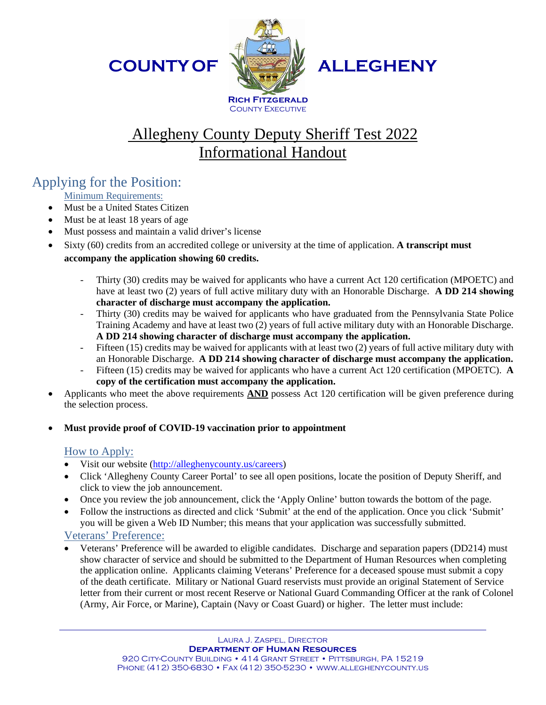**COUNTYOF**



**ALLEGHENY**

# Allegheny County Deputy Sheriff Test 2022 Informational Handout

## Applying for the Position:

Minimum Requirements:

- Must be a United States Citizen
- Must be at least 18 years of age
- Must possess and maintain a valid driver's license
- Sixty (60) credits from an accredited college or university at the time of application. **A transcript must accompany the application showing 60 credits.**
	- Thirty (30) credits may be waived for applicants who have a current Act 120 certification (MPOETC) and have at least two (2) years of full active military duty with an Honorable Discharge. **A DD 214 showing character of discharge must accompany the application.**
	- Thirty (30) credits may be waived for applicants who have graduated from the Pennsylvania State Police Training Academy and have at least two (2) years of full active military duty with an Honorable Discharge. **A DD 214 showing character of discharge must accompany the application.**
	- Fifteen (15) credits may be waived for applicants with at least two (2) years of full active military duty with an Honorable Discharge. **A DD 214 showing character of discharge must accompany the application.**
	- Fifteen (15) credits may be waived for applicants who have a current Act 120 certification (MPOETC). A **copy of the certification must accompany the application.**
- Applicants who meet the above requirements **AND** possess Act 120 certification will be given preference during the selection process.
- **Must provide proof of COVID-19 vaccination prior to appointment**

#### How to Apply:

- Visit our website [\(http://alleghenycounty.us/careers\)](http://alleghenycounty.us/careers)
- Click 'Allegheny County Career Portal' to see all open positions, locate the position of Deputy Sheriff, and click to view the job announcement.
- Once you review the job announcement, click the 'Apply Online' button towards the bottom of the page.
- Follow the instructions as directed and click 'Submit' at the end of the application. Once you click 'Submit' you will be given a Web ID Number; this means that your application was successfully submitted.

#### Veterans' Preference:

• Veterans' Preference will be awarded to eligible candidates. Discharge and separation papers (DD214) must show character of service and should be submitted to the Department of Human Resources when completing the application online. Applicants claiming Veterans' Preference for a deceased spouse must submit a copy of the death certificate. Military or National Guard reservists must provide an original Statement of Service letter from their current or most recent Reserve or National Guard Commanding Officer at the rank of Colonel (Army, Air Force, or Marine), Captain (Navy or Coast Guard) or higher. The letter must include: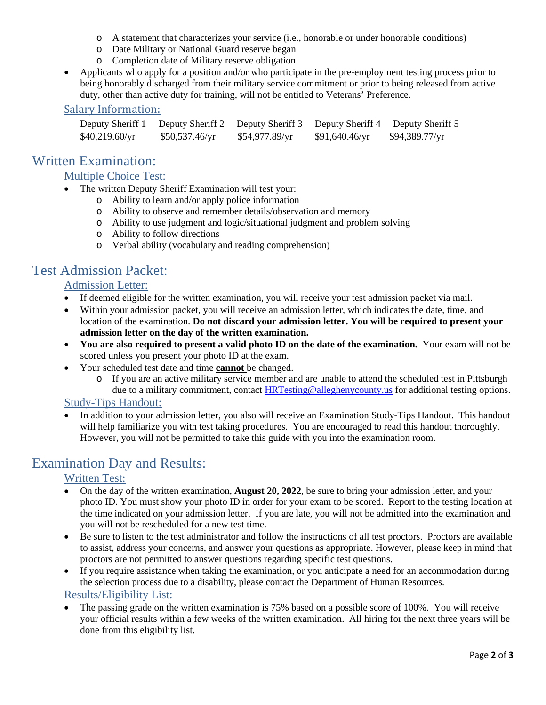- o A statement that characterizes your service (i.e., honorable or under honorable conditions)
- o Date Military or National Guard reserve began
- o Completion date of Military reserve obligation
- Applicants who apply for a position and/or who participate in the pre-employment testing process prior to being honorably discharged from their military service commitment or prior to being released from active duty, other than active duty for training, will not be entitled to Veterans' Preference.

#### Salary Information:

| Deputy Sheriff 1 | Deputy Sheriff 2 Deputy Sheriff 3 |                |                | Deputy Sheriff 4 Deputy Sheriff 5 |
|------------------|-----------------------------------|----------------|----------------|-----------------------------------|
| \$40,219.60/yr   | \$50,537.46/yr                    | \$54,977.89/yr | \$91,640.46/yr | \$94,389.77/yr                    |

## Written Examination:

#### Multiple Choice Test:

- The written Deputy Sheriff Examination will test your:
	- o Ability to learn and/or apply police information
		- o Ability to observe and remember details/observation and memory
		- o Ability to use judgment and logic/situational judgment and problem solving
		- o Ability to follow directions
		- o Verbal ability (vocabulary and reading comprehension)

## Test Admission Packet:

#### Admission Letter:

- If deemed eligible for the written examination, you will receive your test admission packet via mail.
- Within your admission packet, you will receive an admission letter, which indicates the date, time, and location of the examination. **Do not discard your admission letter. You will be required to present your admission letter on the day of the written examination.**
- **You are also required to present a valid photo ID on the date of the examination.** Your exam will not be scored unless you present your photo ID at the exam.
- Your scheduled test date and time **cannot** be changed.
	- o If you are an active military service member and are unable to attend the scheduled test in Pittsburgh due to a military commitment, contact **HRTesting@alleghenycounty.us** for additional testing options.

#### Study-Tips Handout:

• In addition to your admission letter, you also will receive an Examination Study-Tips Handout. This handout will help familiarize you with test taking procedures. You are encouraged to read this handout thoroughly. However, you will not be permitted to take this guide with you into the examination room.

### Examination Day and Results:

#### Written Test:

- On the day of the written examination, **August 20, 2022**, be sure to bring your admission letter, and your photo ID. You must show your photo ID in order for your exam to be scored. Report to the testing location at the time indicated on your admission letter. If you are late, you will not be admitted into the examination and you will not be rescheduled for a new test time.
- Be sure to listen to the test administrator and follow the instructions of all test proctors. Proctors are available to assist, address your concerns, and answer your questions as appropriate. However, please keep in mind that proctors are not permitted to answer questions regarding specific test questions.
- If you require assistance when taking the examination, or you anticipate a need for an accommodation during the selection process due to a disability, please contact the Department of Human Resources.

#### Results/Eligibility List:

• The passing grade on the written examination is 75% based on a possible score of 100%. You will receive your official results within a few weeks of the written examination. All hiring for the next three years will be done from this eligibility list.